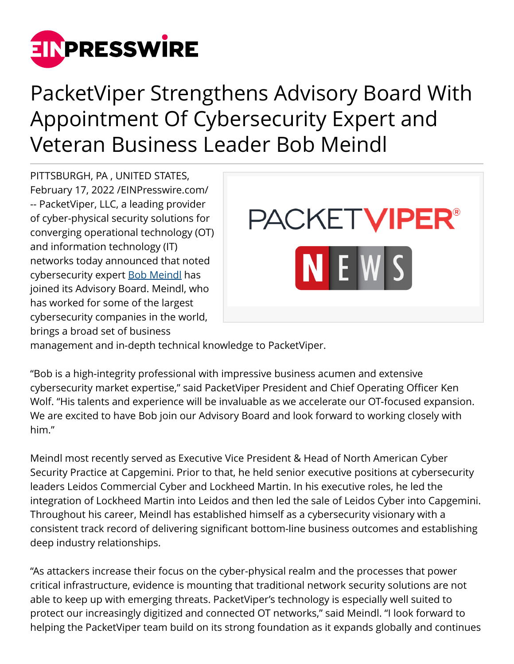

## PacketViper Strengthens Advisory Board With Appointment Of Cybersecurity Expert and Veteran Business Leader Bob Meindl

PITTSBURGH, PA , UNITED STATES, February 17, 2022 /[EINPresswire.com](http://www.einpresswire.com)/ -- PacketViper, LLC, a leading provider of cyber-physical security solutions for converging operational technology (OT) and information technology (IT) networks today announced that noted cybersecurity expert [Bob Meindl](http://www.linkedin.com/in/bob-meindl-570245/) has joined its Advisory Board. Meindl, who has worked for some of the largest cybersecurity companies in the world, brings a broad set of business



management and in-depth technical knowledge to PacketViper.

"Bob is a high-integrity professional with impressive business acumen and extensive cybersecurity market expertise," said PacketViper President and Chief Operating Officer Ken Wolf. "His talents and experience will be invaluable as we accelerate our OT-focused expansion. We are excited to have Bob join our Advisory Board and look forward to working closely with him."

Meindl most recently served as Executive Vice President & Head of North American Cyber Security Practice at Capgemini. Prior to that, he held senior executive positions at cybersecurity leaders Leidos Commercial Cyber and Lockheed Martin. In his executive roles, he led the integration of Lockheed Martin into Leidos and then led the sale of Leidos Cyber into Capgemini. Throughout his career, Meindl has established himself as a cybersecurity visionary with a consistent track record of delivering significant bottom-line business outcomes and establishing deep industry relationships.

"As attackers increase their focus on the cyber-physical realm and the processes that power critical infrastructure, evidence is mounting that traditional network security solutions are not able to keep up with emerging threats. PacketViper's technology is especially well suited to protect our increasingly digitized and connected OT networks," said Meindl. "I look forward to helping the PacketViper team build on its strong foundation as it expands globally and continues